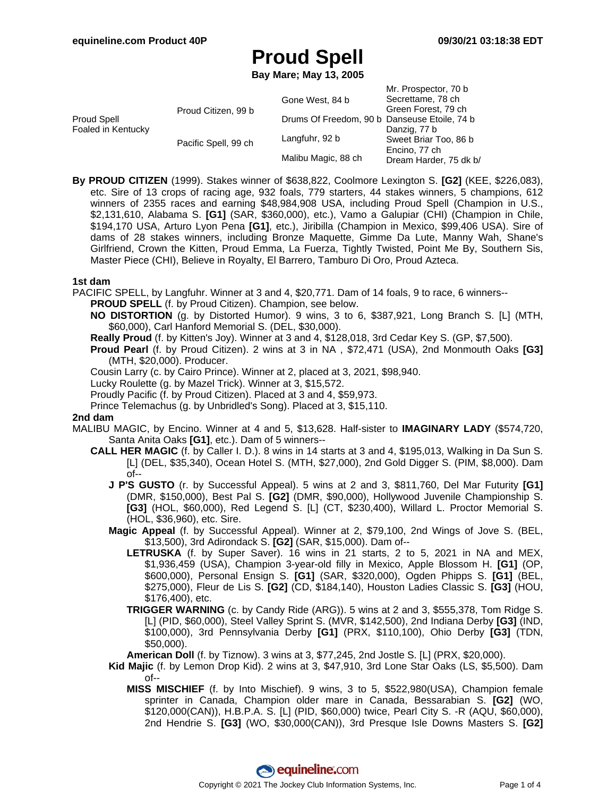**Bay Mare; May 13, 2005**

|                                   |                      |                                              | Mr. Prospector, 70 b   |
|-----------------------------------|----------------------|----------------------------------------------|------------------------|
|                                   |                      | Gone West, 84 b                              | Secrettame, 78 ch      |
| Proud Spell<br>Foaled in Kentucky | Proud Citizen, 99 b  |                                              | Green Forest, 79 ch    |
|                                   |                      | Drums Of Freedom, 90 b Danseuse Etoile, 74 b |                        |
|                                   |                      |                                              | Danzig, 77 b           |
|                                   | Pacific Spell, 99 ch | Langfuhr, 92 b                               | Sweet Briar Too, 86 b  |
|                                   |                      |                                              | Encino, 77 ch          |
|                                   |                      | Malibu Magic, 88 ch                          | Dream Harder, 75 dk b/ |

**By PROUD CITIZEN** (1999). Stakes winner of \$638,822, Coolmore Lexington S. **[G2]** (KEE, \$226,083), etc. Sire of 13 crops of racing age, 932 foals, 779 starters, 44 stakes winners, 5 champions, 612 winners of 2355 races and earning \$48,984,908 USA, including Proud Spell (Champion in U.S., \$2,131,610, Alabama S. **[G1]** (SAR, \$360,000), etc.), Vamo a Galupiar (CHI) (Champion in Chile, \$194,170 USA, Arturo Lyon Pena **[G1]**, etc.), Jiribilla (Champion in Mexico, \$99,406 USA). Sire of dams of 28 stakes winners, including Bronze Maquette, Gimme Da Lute, Manny Wah, Shane's Girlfriend, Crown the Kitten, Proud Emma, La Fuerza, Tightly Twisted, Point Me By, Southern Sis, Master Piece (CHI), Believe in Royalty, El Barrero, Tamburo Di Oro, Proud Azteca.

### **1st dam**

PACIFIC SPELL, by Langfuhr. Winner at 3 and 4, \$20,771. Dam of 14 foals, 9 to race, 6 winners--

- **PROUD SPELL** (f. by Proud Citizen). Champion, see below.
- **NO DISTORTION** (g. by Distorted Humor). 9 wins, 3 to 6, \$387,921, Long Branch S. [L] (MTH, \$60,000), Carl Hanford Memorial S. (DEL, \$30,000).
- **Really Proud** (f. by Kitten's Joy). Winner at 3 and 4, \$128,018, 3rd Cedar Key S. (GP, \$7,500).
- **Proud Pearl** (f. by Proud Citizen). 2 wins at 3 in NA , \$72,471 (USA), 2nd Monmouth Oaks **[G3]** (MTH, \$20,000). Producer.
- Cousin Larry (c. by Cairo Prince). Winner at 2, placed at 3, 2021, \$98,940.
- Lucky Roulette (g. by Mazel Trick). Winner at 3, \$15,572.
- Proudly Pacific (f. by Proud Citizen). Placed at 3 and 4, \$59,973.
- Prince Telemachus (g. by Unbridled's Song). Placed at 3, \$15,110.

#### **2nd dam**

- MALIBU MAGIC, by Encino. Winner at 4 and 5, \$13,628. Half-sister to **IMAGINARY LADY** (\$574,720, Santa Anita Oaks **[G1]**, etc.). Dam of 5 winners--
	- **CALL HER MAGIC** (f. by Caller I. D.). 8 wins in 14 starts at 3 and 4, \$195,013, Walking in Da Sun S. [L] (DEL, \$35,340), Ocean Hotel S. (MTH, \$27,000), 2nd Gold Digger S. (PIM, \$8,000). Dam of--
		- **J P'S GUSTO** (r. by Successful Appeal). 5 wins at 2 and 3, \$811,760, Del Mar Futurity **[G1]** (DMR, \$150,000), Best Pal S. **[G2]** (DMR, \$90,000), Hollywood Juvenile Championship S. **[G3]** (HOL, \$60,000), Red Legend S. [L] (CT, \$230,400), Willard L. Proctor Memorial S. (HOL, \$36,960), etc. Sire.
		- **Magic Appeal** (f. by Successful Appeal). Winner at 2, \$79,100, 2nd Wings of Jove S. (BEL, \$13,500), 3rd Adirondack S. **[G2]** (SAR, \$15,000). Dam of--
			- **LETRUSKA** (f. by Super Saver). 16 wins in 21 starts, 2 to 5, 2021 in NA and MEX, \$1,936,459 (USA), Champion 3-year-old filly in Mexico, Apple Blossom H. **[G1]** (OP, \$600,000), Personal Ensign S. **[G1]** (SAR, \$320,000), Ogden Phipps S. **[G1]** (BEL, \$275,000), Fleur de Lis S. **[G2]** (CD, \$184,140), Houston Ladies Classic S. **[G3]** (HOU, \$176,400), etc.
			- **TRIGGER WARNING** (c. by Candy Ride (ARG)). 5 wins at 2 and 3, \$555,378, Tom Ridge S. [L] (PID, \$60,000), Steel Valley Sprint S. (MVR, \$142,500), 2nd Indiana Derby **[G3]** (IND, \$100,000), 3rd Pennsylvania Derby **[G1]** (PRX, \$110,100), Ohio Derby **[G3]** (TDN, \$50,000).

**American Doll** (f. by Tiznow). 3 wins at 3, \$77,245, 2nd Jostle S. [L] (PRX, \$20,000).

- **Kid Majic** (f. by Lemon Drop Kid). 2 wins at 3, \$47,910, 3rd Lone Star Oaks (LS, \$5,500). Dam of--
	- **MISS MISCHIEF** (f. by Into Mischief). 9 wins, 3 to 5, \$522,980(USA), Champion female sprinter in Canada, Champion older mare in Canada, Bessarabian S. **[G2]** (WO, \$120,000(CAN)), H.B.P.A. S. [L] (PID, \$60,000) twice, Pearl City S. -R (AQU, \$60,000), 2nd Hendrie S. **[G3]** (WO, \$30,000(CAN)), 3rd Presque Isle Downs Masters S. **[G2]**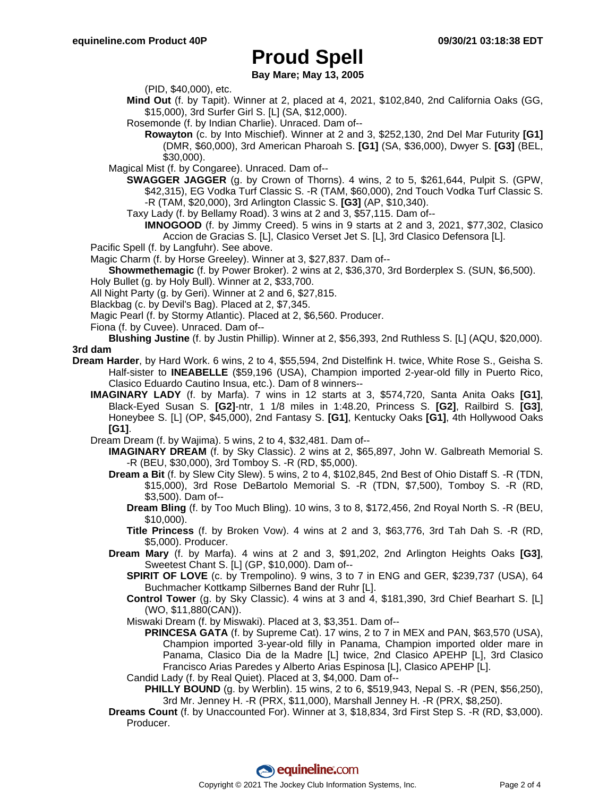**Bay Mare; May 13, 2005**

(PID, \$40,000), etc.

- **Mind Out** (f. by Tapit). Winner at 2, placed at 4, 2021, \$102,840, 2nd California Oaks (GG, \$15,000), 3rd Surfer Girl S. [L] (SA, \$12,000).
- Rosemonde (f. by Indian Charlie). Unraced. Dam of--
	- **Rowayton** (c. by Into Mischief). Winner at 2 and 3, \$252,130, 2nd Del Mar Futurity **[G1]** (DMR, \$60,000), 3rd American Pharoah S. **[G1]** (SA, \$36,000), Dwyer S. **[G3]** (BEL, \$30,000).
- Magical Mist (f. by Congaree). Unraced. Dam of--
	- **SWAGGER JAGGER** (g. by Crown of Thorns). 4 wins, 2 to 5, \$261,644, Pulpit S. (GPW, \$42,315), EG Vodka Turf Classic S. -R (TAM, \$60,000), 2nd Touch Vodka Turf Classic S. -R (TAM, \$20,000), 3rd Arlington Classic S. **[G3]** (AP, \$10,340).
	- Taxy Lady (f. by Bellamy Road). 3 wins at 2 and 3, \$57,115. Dam of--
		- **IMNOGOOD** (f. by Jimmy Creed). 5 wins in 9 starts at 2 and 3, 2021, \$77,302, Clasico Accion de Gracias S. [L], Clasico Verset Jet S. [L], 3rd Clasico Defensora [L].
- Pacific Spell (f. by Langfuhr). See above.
- Magic Charm (f. by Horse Greeley). Winner at 3, \$27,837. Dam of--
- **Showmethemagic** (f. by Power Broker). 2 wins at 2, \$36,370, 3rd Borderplex S. (SUN, \$6,500). Holy Bullet (g. by Holy Bull). Winner at 2, \$33,700.
- All Night Party (g. by Geri). Winner at 2 and 6, \$27,815.
- Blackbag (c. by Devil's Bag). Placed at 2, \$7,345.
- Magic Pearl (f. by Stormy Atlantic). Placed at 2, \$6,560. Producer.
- Fiona (f. by Cuvee). Unraced. Dam of--

**Blushing Justine** (f. by Justin Phillip). Winner at 2, \$56,393, 2nd Ruthless S. [L] (AQU, \$20,000). **3rd dam**

- **Dream Harder**, by Hard Work. 6 wins, 2 to 4, \$55,594, 2nd Distelfink H. twice, White Rose S., Geisha S. Half-sister to **INEABELLE** (\$59,196 (USA), Champion imported 2-year-old filly in Puerto Rico, Clasico Eduardo Cautino Insua, etc.). Dam of 8 winners--
	- **IMAGINARY LADY** (f. by Marfa). 7 wins in 12 starts at 3, \$574,720, Santa Anita Oaks **[G1]**, Black-Eyed Susan S. **[G2]**-ntr, 1 1/8 miles in 1:48.20, Princess S. **[G2]**, Railbird S. **[G3]**, Honeybee S. [L] (OP, \$45,000), 2nd Fantasy S. **[G1]**, Kentucky Oaks **[G1]**, 4th Hollywood Oaks **[G1]**.
	- Dream Dream (f. by Wajima). 5 wins, 2 to 4, \$32,481. Dam of--
		- **IMAGINARY DREAM** (f. by Sky Classic). 2 wins at 2, \$65,897, John W. Galbreath Memorial S. -R (BEU, \$30,000), 3rd Tomboy S. -R (RD, \$5,000).
		- **Dream a Bit** (f. by Slew City Slew). 5 wins, 2 to 4, \$102,845, 2nd Best of Ohio Distaff S. -R (TDN, \$15,000), 3rd Rose DeBartolo Memorial S. -R (TDN, \$7,500), Tomboy S. -R (RD, \$3,500). Dam of--
			- **Dream Bling** (f. by Too Much Bling). 10 wins, 3 to 8, \$172,456, 2nd Royal North S. -R (BEU, \$10,000).
			- **Title Princess** (f. by Broken Vow). 4 wins at 2 and 3, \$63,776, 3rd Tah Dah S. -R (RD, \$5,000). Producer.
		- **Dream Mary** (f. by Marfa). 4 wins at 2 and 3, \$91,202, 2nd Arlington Heights Oaks **[G3]**, Sweetest Chant S. [L] (GP, \$10,000). Dam of--
			- **SPIRIT OF LOVE** (c. by Trempolino). 9 wins, 3 to 7 in ENG and GER, \$239,737 (USA), 64 Buchmacher Kottkamp Silbernes Band der Ruhr [L].
			- **Control Tower** (g. by Sky Classic). 4 wins at 3 and 4, \$181,390, 3rd Chief Bearhart S. [L] (WO, \$11,880(CAN)).
			- Miswaki Dream (f. by Miswaki). Placed at 3, \$3,351. Dam of--
				- **PRINCESA GATA** (f. by Supreme Cat). 17 wins, 2 to 7 in MEX and PAN, \$63,570 (USA), Champion imported 3-year-old filly in Panama, Champion imported older mare in Panama, Clasico Dia de la Madre [L] twice, 2nd Clasico APEHP [L], 3rd Clasico Francisco Arias Paredes y Alberto Arias Espinosa [L], Clasico APEHP [L].
			- Candid Lady (f. by Real Quiet). Placed at 3, \$4,000. Dam of--
				- **PHILLY BOUND** (g. by Werblin). 15 wins, 2 to 6, \$519,943, Nepal S. -R (PEN, \$56,250), 3rd Mr. Jenney H. -R (PRX, \$11,000), Marshall Jenney H. -R (PRX, \$8,250).
		- **Dreams Count** (f. by Unaccounted For). Winner at 3, \$18,834, 3rd First Step S. -R (RD, \$3,000). Producer.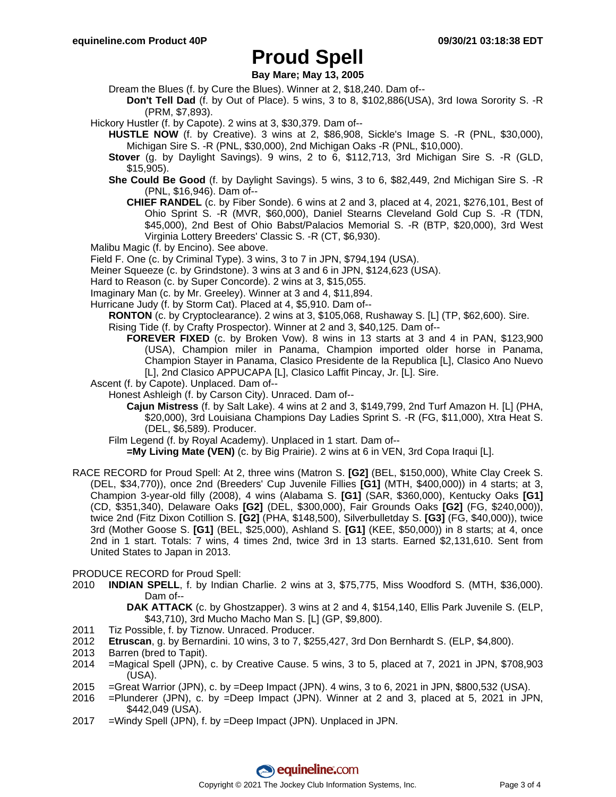**Bay Mare; May 13, 2005**

Dream the Blues (f. by Cure the Blues). Winner at 2, \$18,240. Dam of--

- **Don't Tell Dad** (f. by Out of Place). 5 wins, 3 to 8, \$102,886(USA), 3rd Iowa Sorority S. -R (PRM, \$7,893).
- Hickory Hustler (f. by Capote). 2 wins at 3, \$30,379. Dam of--
	- **HUSTLE NOW** (f. by Creative). 3 wins at 2, \$86,908, Sickle's Image S. -R (PNL, \$30,000), Michigan Sire S. -R (PNL, \$30,000), 2nd Michigan Oaks -R (PNL, \$10,000).
	- **Stover** (g. by Daylight Savings). 9 wins, 2 to 6, \$112,713, 3rd Michigan Sire S. -R (GLD, \$15,905).
	- **She Could Be Good** (f. by Daylight Savings). 5 wins, 3 to 6, \$82,449, 2nd Michigan Sire S. -R (PNL, \$16,946). Dam of--
		- **CHIEF RANDEL** (c. by Fiber Sonde). 6 wins at 2 and 3, placed at 4, 2021, \$276,101, Best of Ohio Sprint S. -R (MVR, \$60,000), Daniel Stearns Cleveland Gold Cup S. -R (TDN, \$45,000), 2nd Best of Ohio Babst/Palacios Memorial S. -R (BTP, \$20,000), 3rd West Virginia Lottery Breeders' Classic S. -R (CT, \$6,930).
- Malibu Magic (f. by Encino). See above.
- Field F. One (c. by Criminal Type). 3 wins, 3 to 7 in JPN, \$794,194 (USA).
- Meiner Squeeze (c. by Grindstone). 3 wins at 3 and 6 in JPN, \$124,623 (USA).
- Hard to Reason (c. by Super Concorde). 2 wins at 3, \$15,055.
- Imaginary Man (c. by Mr. Greeley). Winner at 3 and 4, \$11,894.
- Hurricane Judy (f. by Storm Cat). Placed at 4, \$5,910. Dam of--
	- **RONTON** (c. by Cryptoclearance). 2 wins at 3, \$105,068, Rushaway S. [L] (TP, \$62,600). Sire.
	- Rising Tide (f. by Crafty Prospector). Winner at 2 and 3, \$40,125. Dam of-- **FOREVER FIXED** (c. by Broken Vow). 8 wins in 13 starts at 3 and 4 in PAN, \$123,900 (USA), Champion miler in Panama, Champion imported older horse in Panama, Champion Stayer in Panama, Clasico Presidente de la Republica [L], Clasico Ano Nuevo
		- [L], 2nd Clasico APPUCAPA [L], Clasico Laffit Pincay, Jr. [L]. Sire.
- Ascent (f. by Capote). Unplaced. Dam of--
	- Honest Ashleigh (f. by Carson City). Unraced. Dam of--
		- **Cajun Mistress** (f. by Salt Lake). 4 wins at 2 and 3, \$149,799, 2nd Turf Amazon H. [L] (PHA, \$20,000), 3rd Louisiana Champions Day Ladies Sprint S. -R (FG, \$11,000), Xtra Heat S. (DEL, \$6,589). Producer.
	- Film Legend (f. by Royal Academy). Unplaced in 1 start. Dam of--
		- **=My Living Mate (VEN)** (c. by Big Prairie). 2 wins at 6 in VEN, 3rd Copa Iraqui [L].
- RACE RECORD for Proud Spell: At 2, three wins (Matron S. **[G2]** (BEL, \$150,000), White Clay Creek S. (DEL, \$34,770)), once 2nd (Breeders' Cup Juvenile Fillies **[G1]** (MTH, \$400,000)) in 4 starts; at 3, Champion 3-year-old filly (2008), 4 wins (Alabama S. **[G1]** (SAR, \$360,000), Kentucky Oaks **[G1]** (CD, \$351,340), Delaware Oaks **[G2]** (DEL, \$300,000), Fair Grounds Oaks **[G2]** (FG, \$240,000)), twice 2nd (Fitz Dixon Cotillion S. **[G2]** (PHA, \$148,500), Silverbulletday S. **[G3]** (FG, \$40,000)), twice 3rd (Mother Goose S. **[G1]** (BEL, \$25,000), Ashland S. **[G1]** (KEE, \$50,000)) in 8 starts; at 4, once 2nd in 1 start. Totals: 7 wins, 4 times 2nd, twice 3rd in 13 starts. Earned \$2,131,610. Sent from United States to Japan in 2013.

### PRODUCE RECORD for Proud Spell:

2010 **INDIAN SPELL**, f. by Indian Charlie. 2 wins at 3, \$75,775, Miss Woodford S. (MTH, \$36,000). Dam of--

**DAK ATTACK** (c. by Ghostzapper). 3 wins at 2 and 4, \$154,140, Ellis Park Juvenile S. (ELP, \$43,710), 3rd Mucho Macho Man S. [L] (GP, \$9,800).

- 2011 Tiz Possible, f. by Tiznow. Unraced. Producer.
- 2012 **Etruscan**, g. by Bernardini. 10 wins, 3 to 7, \$255,427, 3rd Don Bernhardt S. (ELP, \$4,800).
- 2013 Barren (bred to Tapit).
- 2014 =Magical Spell (JPN), c. by Creative Cause. 5 wins, 3 to 5, placed at 7, 2021 in JPN, \$708,903 (USA).
- 2015 =Great Warrior (JPN), c. by =Deep Impact (JPN). 4 wins, 3 to 6, 2021 in JPN, \$800,532 (USA).
- 2016 =Plunderer (JPN), c. by =Deep Impact (JPN). Winner at 2 and 3, placed at 5, 2021 in JPN, \$442,049 (USA).
- 2017 =Windy Spell (JPN), f. by =Deep Impact (JPN). Unplaced in JPN.